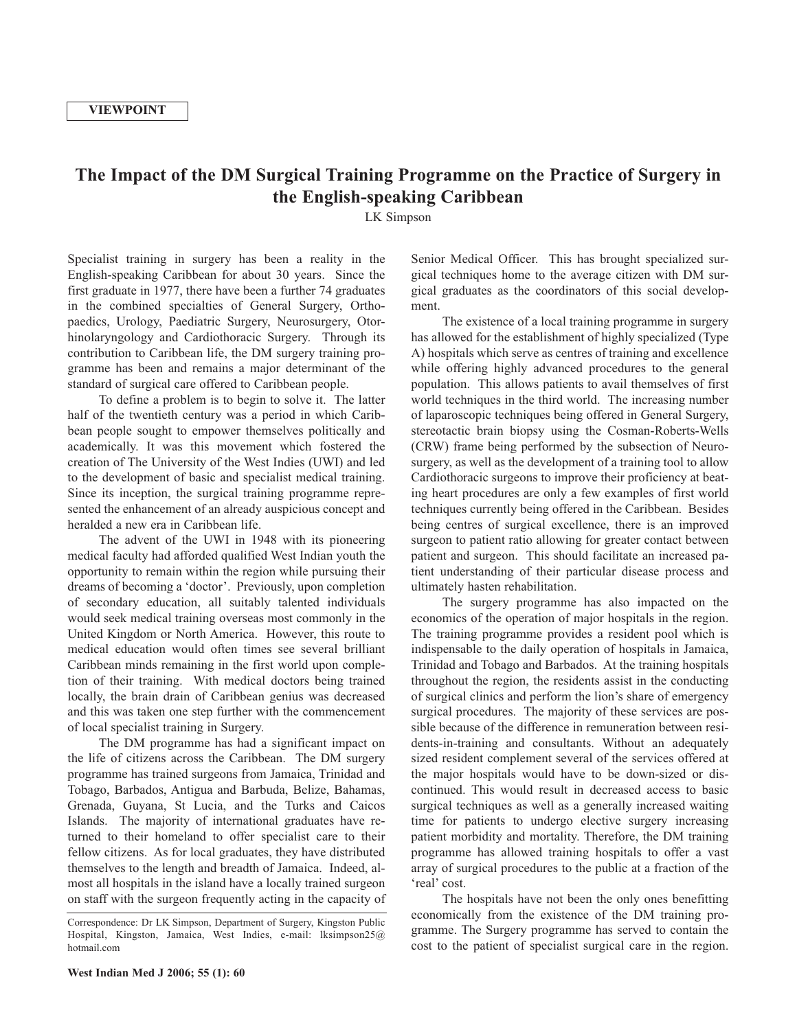## **The Impact of the DM Surgical Training Programme on the Practice of Surgery in the English-speaking Caribbean**

LK Simpson

Specialist training in surgery has been a reality in the English-speaking Caribbean for about 30 years. Since the first graduate in 1977, there have been a further 74 graduates in the combined specialties of General Surgery, Orthopaedics, Urology, Paediatric Surgery, Neurosurgery, Otorhinolaryngology and Cardiothoracic Surgery. Through its contribution to Caribbean life, the DM surgery training programme has been and remains a major determinant of the standard of surgical care offered to Caribbean people.

To define a problem is to begin to solve it. The latter half of the twentieth century was a period in which Caribbean people sought to empower themselves politically and academically. It was this movement which fostered the creation of The University of the West Indies (UWI) and led to the development of basic and specialist medical training. Since its inception, the surgical training programme represented the enhancement of an already auspicious concept and heralded a new era in Caribbean life.

The advent of the UWI in 1948 with its pioneering medical faculty had afforded qualified West Indian youth the opportunity to remain within the region while pursuing their dreams of becoming a 'doctor'. Previously, upon completion of secondary education, all suitably talented individuals would seek medical training overseas most commonly in the United Kingdom or North America. However, this route to medical education would often times see several brilliant Caribbean minds remaining in the first world upon completion of their training. With medical doctors being trained locally, the brain drain of Caribbean genius was decreased and this was taken one step further with the commencement of local specialist training in Surgery.

The DM programme has had a significant impact on the life of citizens across the Caribbean. The DM surgery programme has trained surgeons from Jamaica, Trinidad and Tobago, Barbados, Antigua and Barbuda, Belize, Bahamas, Grenada, Guyana, St Lucia, and the Turks and Caicos Islands. The majority of international graduates have returned to their homeland to offer specialist care to their fellow citizens. As for local graduates, they have distributed themselves to the length and breadth of Jamaica. Indeed, almost all hospitals in the island have a locally trained surgeon on staff with the surgeon frequently acting in the capacity of Senior Medical Officer. This has brought specialized surgical techniques home to the average citizen with DM surgical graduates as the coordinators of this social development.

The existence of a local training programme in surgery has allowed for the establishment of highly specialized (Type A) hospitals which serve as centres of training and excellence while offering highly advanced procedures to the general population. This allows patients to avail themselves of first world techniques in the third world. The increasing number of laparoscopic techniques being offered in General Surgery, stereotactic brain biopsy using the Cosman-Roberts-Wells (CRW) frame being performed by the subsection of Neurosurgery, as well as the development of a training tool to allow Cardiothoracic surgeons to improve their proficiency at beating heart procedures are only a few examples of first world techniques currently being offered in the Caribbean. Besides being centres of surgical excellence, there is an improved surgeon to patient ratio allowing for greater contact between patient and surgeon. This should facilitate an increased patient understanding of their particular disease process and ultimately hasten rehabilitation.

The surgery programme has also impacted on the economics of the operation of major hospitals in the region. The training programme provides a resident pool which is indispensable to the daily operation of hospitals in Jamaica, Trinidad and Tobago and Barbados. At the training hospitals throughout the region, the residents assist in the conducting of surgical clinics and perform the lion's share of emergency surgical procedures. The majority of these services are possible because of the difference in remuneration between residents-in-training and consultants. Without an adequately sized resident complement several of the services offered at the major hospitals would have to be down-sized or discontinued. This would result in decreased access to basic surgical techniques as well as a generally increased waiting time for patients to undergo elective surgery increasing patient morbidity and mortality. Therefore, the DM training programme has allowed training hospitals to offer a vast array of surgical procedures to the public at a fraction of the 'real' cost.

The hospitals have not been the only ones benefitting economically from the existence of the DM training programme. The Surgery programme has served to contain the cost to the patient of specialist surgical care in the region.

Correspondence: Dr LK Simpson, Department of Surgery, Kingston Public Hospital, Kingston, Jamaica, West Indies, e-mail: lksimpson25@ hotmail.com